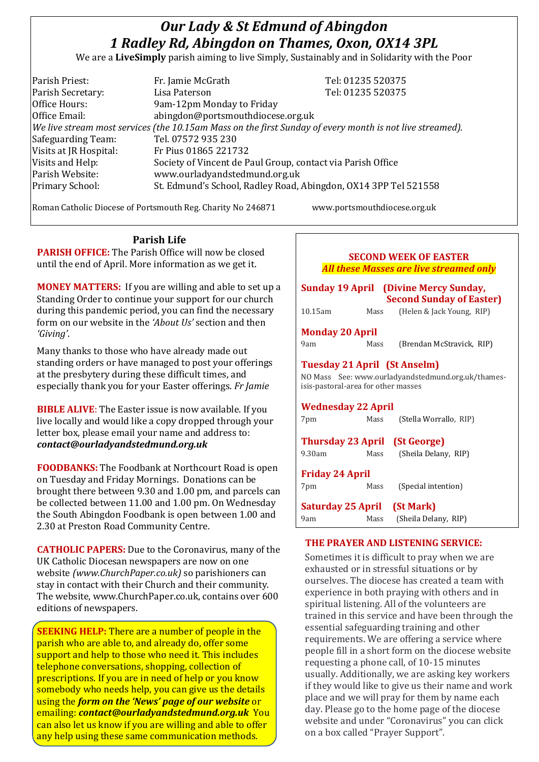# *Our Lady & St Edmund of Abingdon 1 Radley Rd, Abingdon on Thames, Oxon, OX14 3PL*

We are a **LiveSimply** parish aiming to live Simply, Sustainably and in Solidarity with the Poor

| Parish Priest:                                                                                               | Fr. Jamie McGrath                                           | Tel: 01235 520375                                               |  |  |
|--------------------------------------------------------------------------------------------------------------|-------------------------------------------------------------|-----------------------------------------------------------------|--|--|
| Parish Secretary:                                                                                            | Lisa Paterson                                               | Tel: 01235 520375                                               |  |  |
| Office Hours:                                                                                                | 9am-12pm Monday to Friday                                   |                                                                 |  |  |
| Office Email:                                                                                                | abingdon@portsmouthdiocese.org.uk                           |                                                                 |  |  |
| $ $ We live stream most services (the 10.15am Mass on the first Sunday of every month is not live streamed). |                                                             |                                                                 |  |  |
| Safeguarding Team:                                                                                           | Tel. 07572 935 230                                          |                                                                 |  |  |
| Visits at JR Hospital:                                                                                       | Fr Pius 01865 221732                                        |                                                                 |  |  |
| Visits and Help:                                                                                             | Society of Vincent de Paul Group, contact via Parish Office |                                                                 |  |  |
| Parish Website:                                                                                              | www.ourladyandstedmund.org.uk                               |                                                                 |  |  |
| Primary School:                                                                                              |                                                             | St. Edmund's School, Radley Road, Abingdon, OX14 3PP Tel 521558 |  |  |

Roman Catholic Diocese of Portsmouth Reg. Charity No 246871 www.portsmouthdiocese.org.uk

**Parish Life PARISH OFFICE:** The Parish Office will now be closed until the end of April. More information as we get it.

**MONEY MATTERS:** If you are willing and able to set up a Standing Order to continue your support for our church during this pandemic period, you can find the necessary form on our website in the *'About Us'* section and then *'Giving'*.

Many thanks to those who have already made out standing orders or have managed to post your offerings at the presbytery during these difficult times, and especially thank you for your Easter offerings. *Fr Jamie*

**BIBLE ALIVE**: The Easter issue is now available. If you live locally and would like a copy dropped through your letter box, please email your name and address to: *contact@ourladyandstedmund.org.uk*

**FOODBANKS:** The Foodbank at Northcourt Road is open on Tuesday and Friday Mornings. Donations can be brought there between 9.30 and 1.00 pm, and parcels can be collected between 11.00 and 1.00 pm. On Wednesday the South Abingdon Foodbank is open between 1.00 and 2.30 at Preston Road Community Centre.

**CATHOLIC PAPERS:** Due to the Coronavirus, many of the UK Catholic Diocesan newspapers are now on one website *(www.ChurchPaper.co.uk)* so parishioners can stay in contact with their Church and their community. The website, www.ChurchPaper.co.uk, contains over 600 editions of newspapers.

**SEEKING HELP:** There are a number of people in the parish who are able to, and already do, offer some support and help to those who need it. This includes telephone conversations, shopping, collection of prescriptions. If you are in need of help or you know somebody who needs help, you can give us the details using the *form on the 'News' page of our website* or emailing: *contact@ourladyandstedmund.org.uk* You can also let us know if you are willing and able to offer any help using these same communication methods.

| <b>SECOND WEEK OF EASTER</b><br><b>All these Masses are live streamed only</b>                                                                                |      |                           |  |  |
|---------------------------------------------------------------------------------------------------------------------------------------------------------------|------|---------------------------|--|--|
| <b>Sunday 19 April</b> (Divine Mercy Sunday,<br><b>Second Sunday of Easter)</b>                                                                               |      |                           |  |  |
| $10.15$ am                                                                                                                                                    | Mass | (Helen & Jack Young, RIP) |  |  |
| <b>Monday 20 April</b>                                                                                                                                        |      |                           |  |  |
| 9am                                                                                                                                                           | Mass | (Brendan McStravick, RIP) |  |  |
| <b>Tuesday 21 April (St Anselm)</b><br>NO Mass See: www.ourladyandstedmund.org.uk/thames-<br>isis-pastoral-area for other masses<br><b>Wednesday 22 April</b> |      |                           |  |  |
| 7pm                                                                                                                                                           | Mass | (Stella Worrallo, RIP)    |  |  |
| <b>Thursday 23 April (St George)</b><br>9.30am                                                                                                                | Mass | (Sheila Delany, RIP)      |  |  |
| <b>Friday 24 April</b>                                                                                                                                        |      |                           |  |  |
| 7pm                                                                                                                                                           | Mass | (Special intention)       |  |  |
| <b>Saturday 25 April (St Mark)</b>                                                                                                                            |      |                           |  |  |
| 9am                                                                                                                                                           | Mass | (Sheila Delany, RIP)      |  |  |

# **THE PRAYER AND LISTENING SERVICE:**

Sometimes it is difficult to pray when we are exhausted or in stressful situations or by ourselves. The diocese has created a team with experience in both praying with others and in spiritual listening. All of the volunteers are trained in this service and have been through the essential safeguarding training and other requirements. We are offering a service where people fill in a short form on the diocese website requesting a phone call, of 10-15 minutes usually. Additionally, we are asking key workers if they would like to give us their name and work place and we will pray for them by name each day. Please go to the home page of the diocese website and under "Coronavirus" you can click on a box called "Prayer Support".